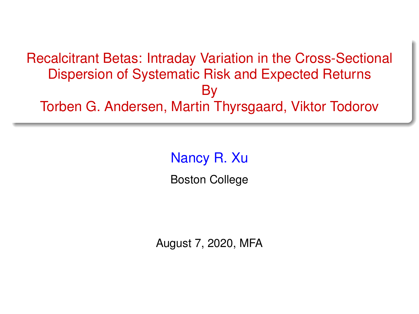#### <span id="page-0-0"></span>Recalcitrant Betas: Intraday Variation in the Cross-Sectional Dispersion of Systematic Risk and Expected Returns By Torben G. Andersen, Martin Thyrsgaard, Viktor Todorov

#### Nancy R. Xu

Boston College

August 7, 2020, MFA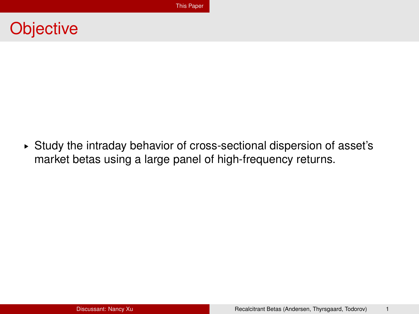#### <span id="page-1-0"></span>**Objective**

§ Study the intraday behavior of cross-sectional dispersion of asset's market betas using a large panel of high-frequency returns.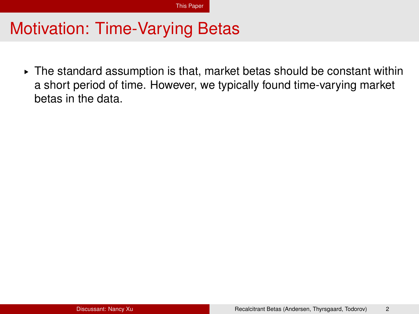$\triangleright$  The standard assumption is that, market betas should be constant within a short period of time. However, we typically found time-varying market betas in the data.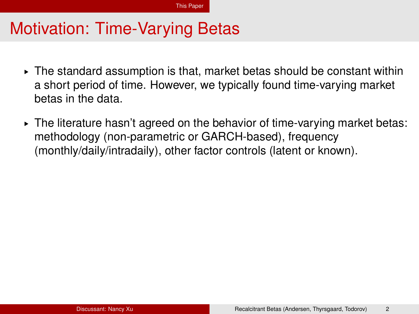- $\triangleright$  The standard assumption is that, market betas should be constant within a short period of time. However, we typically found time-varying market betas in the data.
- $\triangleright$  The literature hasn't agreed on the behavior of time-varying market betas: methodology (non-parametric or GARCH-based), frequency (monthly/daily/intradaily), other factor controls (latent or known).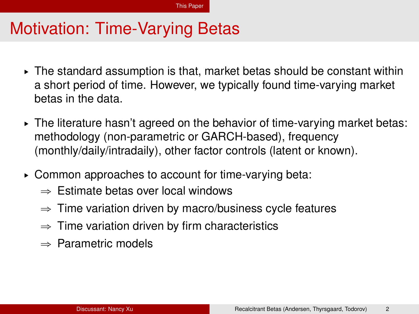- $\triangleright$  The standard assumption is that, market betas should be constant within a short period of time. However, we typically found time-varying market betas in the data.
- $\triangleright$  The literature hasn't agreed on the behavior of time-varying market betas: methodology (non-parametric or GARCH-based), frequency (monthly/daily/intradaily), other factor controls (latent or known).
- § Common approaches to account for time-varying beta:
	- $\Rightarrow$  Estimate betas over local windows
	- $\Rightarrow$  Time variation driven by macro/business cycle features
	- $\Rightarrow$  Time variation driven by firm characteristics
	- $\Rightarrow$  Parametric models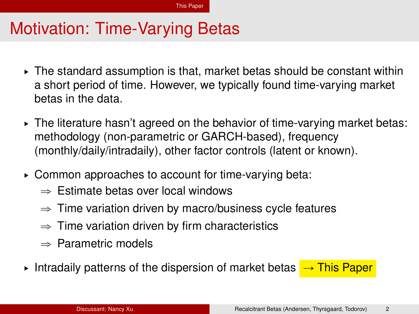- $\triangleright$  The standard assumption is that, market betas should be constant within a short period of time. However, we typically found time-varying market betas in the data.
- $\triangleright$  The literature hasn't agreed on the behavior of time-varying market betas: methodology (non-parametric or GARCH-based), frequency (monthly/daily/intradaily), other factor controls (latent or known).
- § Common approaches to account for time-varying beta:
	- $\Rightarrow$  Estimate betas over local windows
	- $\Rightarrow$  Time variation driven by macro/business cycle features
	- $\Rightarrow$  Time variation driven by firm characteristics
	- $\Rightarrow$  Parametric models
- Intradaily patterns of the dispersion of market betas  $\rightarrow$  This Paper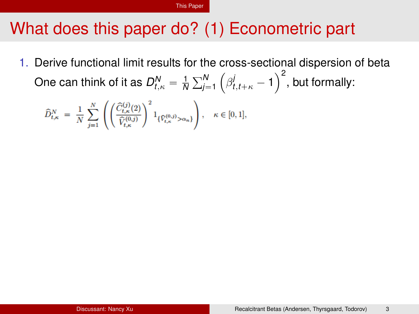# What does this paper do? (1) Econometric part

1. Derive functional limit results for the cross-sectional dispersion of beta One can think of it as  $D_{t,\kappa}^N = \frac{1}{N}$ ř*N j*=1 ن<br>.  $\beta^j_{t,t+\kappa} - 1$ ∪r<br>∖2 , but formally:

$$
\widehat{D}_{t,\kappa}^N \ = \ \frac{1}{N} \, \sum_{j=1}^N \, \left( \left( \frac{\widehat{C}_{t,\kappa}^{(j)}(2)}{\widehat{V}_{t,\kappa}^{(0,j)}} \right)^2 1_{\{\widehat{V}_{t,\kappa}^{(0,j)} > \alpha_n\}} \right), \quad \kappa \in [0,1],
$$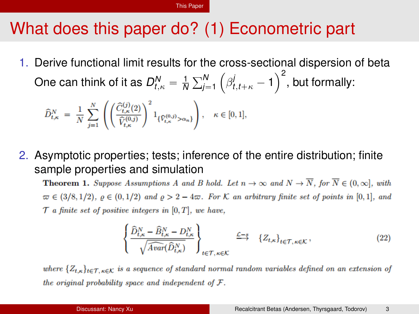# What does this paper do? (1) Econometric part

1. Derive functional limit results for the cross-sectional dispersion of beta ´ One can think of it as  $D_{t,\kappa}^N = \frac{1}{N}$ ř*N*  $\int_{j=1}^N \left( \beta^j_{t,t+\kappa} - 1 \right)$ ∪r<br>∖2 , but formally:

$$
\widehat{D}_{t,\kappa}^N \ = \ \frac{1}{N} \sum_{j=1}^N \left( \left( \frac{\widehat{C}_{t,\kappa}^{(j)}(2)}{\widehat{V}_{t,\kappa}^{(0,j)}} \right)^2 1_{\{\widehat{V}_{t,\kappa}^{(0,j)} > \alpha_n\}} \right), \quad \kappa \in [0,1],
$$

2. Asymptotic properties; tests; inference of the entire distribution; finite sample properties and simulation

**Theorem 1.** Suppose Assumptions A and B hold. Let  $n \to \infty$  and  $N \to \overline{N}$ , for  $\overline{N} \in (0, \infty]$ , with  $\varpi \in (3/8, 1/2), \varrho \in (0, 1/2)$  and  $\varrho > 2 - 4\varpi$ . For K an arbitrary finite set of points in [0,1], and  $\mathcal T$  a finite set of positive integers in [0, T], we have,

$$
\left\{ \frac{\widehat{D}_{t,\kappa}^N - \widehat{B}_{t,\kappa}^N - D_{t,\kappa}^N}{\sqrt{\widehat{Avar}(\widehat{D}_{t,\kappa}^N)}} \right\}_{t \in \mathcal{T}, \kappa \in \mathcal{K}} \xrightarrow{\mathcal{L} - s} \{Z_{t,\kappa}\}_{t \in \mathcal{T}, \kappa \in \mathcal{K}},
$$
\n(22)

where  $\{Z_{t,\kappa}\}_{t\in\mathcal{T},\kappa\in\mathcal{K}}$  is a sequence of standard normal random variables defined on an extension of the original probability space and independent of  $F$ .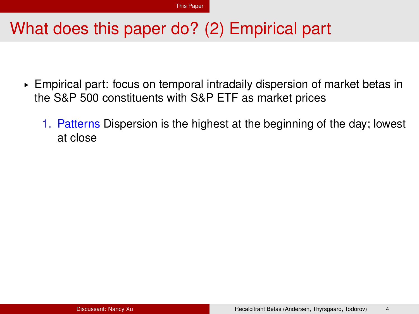- ► Empirical part: focus on temporal intradaily dispersion of market betas in the S&P 500 constituents with S&P ETF as market prices
	- 1. Patterns Dispersion is the highest at the beginning of the day; lowest at close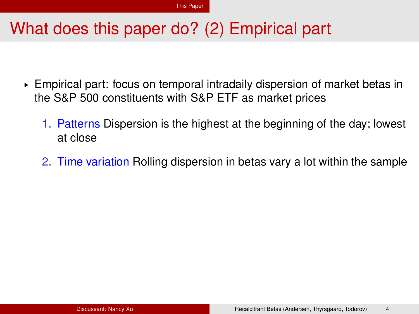- ► Empirical part: focus on temporal intradaily dispersion of market betas in the S&P 500 constituents with S&P ETF as market prices
	- 1. Patterns Dispersion is the highest at the beginning of the day; lowest at close
	- 2. Time variation Rolling dispersion in betas vary a lot within the sample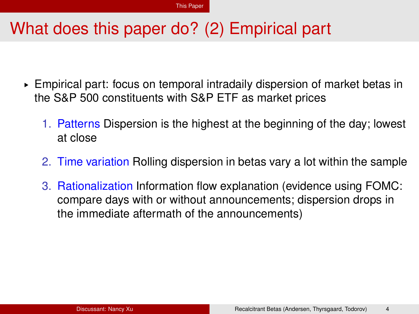- ► Empirical part: focus on temporal intradaily dispersion of market betas in the S&P 500 constituents with S&P ETF as market prices
	- 1. Patterns Dispersion is the highest at the beginning of the day; lowest at close
	- 2. Time variation Rolling dispersion in betas vary a lot within the sample
	- 3. Rationalization Information flow explanation (evidence using FOMC: compare days with or without announcements; dispersion drops in the immediate aftermath of the announcements)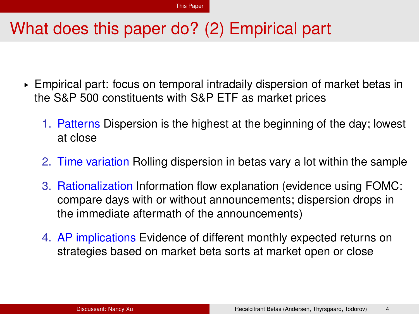- ► Empirical part: focus on temporal intradaily dispersion of market betas in the S&P 500 constituents with S&P ETF as market prices
	- 1. Patterns Dispersion is the highest at the beginning of the day; lowest at close
	- 2. Time variation Rolling dispersion in betas vary a lot within the sample
	- 3. Rationalization Information flow explanation (evidence using FOMC: compare days with or without announcements; dispersion drops in the immediate aftermath of the announcements)
	- 4. AP implications Evidence of different monthly expected returns on strategies based on market beta sorts at market open or close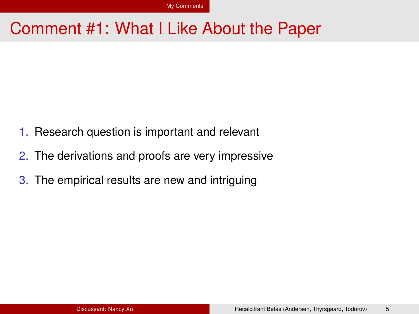#### <span id="page-12-0"></span>Comment #1: What I Like About the Paper

- 1. Research question is important and relevant
- 2. The derivations and proofs are very impressive
- 3. The empirical results are new and intriguing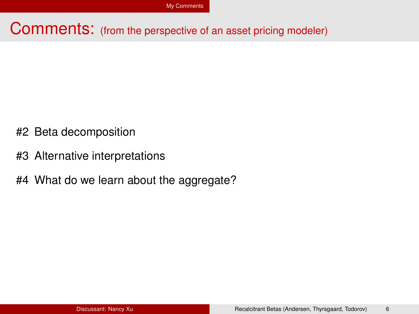#### Comments: (from the perspective of an asset pricing modeler)

- #2 Beta decomposition
- #3 Alternative interpretations
- #4 What do we learn about the aggregate?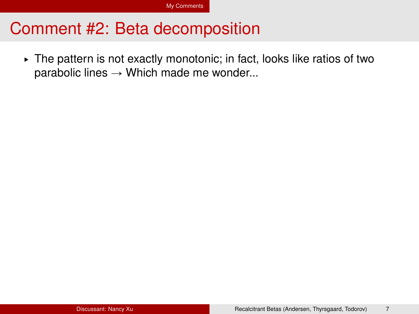§ The pattern is not exactly monotonic; in fact, looks like ratios of two parabolic lines  $\rightarrow$  Which made me wonder...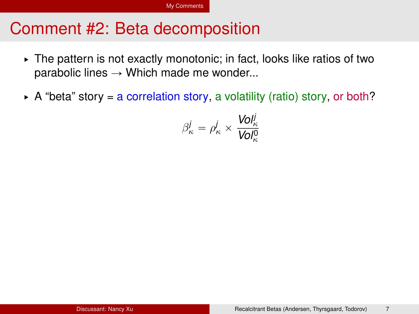- § The pattern is not exactly monotonic; in fact, looks like ratios of two parabolic lines  $\rightarrow$  Which made me wonder...
- $\triangleright$  A "beta" story = a correlation story, a volatility (ratio) story, or both?

$$
\beta_{\kappa}^j = \rho_{\kappa}^j \times \frac{\text{Vol}_{\kappa}^j}{\text{Vol}_{\kappa}^0}
$$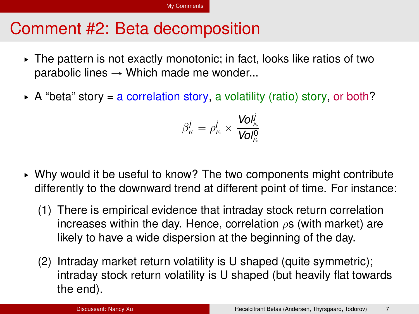- § The pattern is not exactly monotonic; in fact, looks like ratios of two parabolic lines  $\rightarrow$  Which made me wonder...
- $\triangleright$  A "beta" story = a correlation story, a volatility (ratio) story, or both?

$$
\beta_{\kappa}^j = \rho_{\kappa}^j \times \frac{\text{Vol}_{\kappa}^j}{\text{Vol}_{\kappa}^0}
$$

- ► Why would it be useful to know? The two components might contribute differently to the downward trend at different point of time. For instance:
	- (1) There is empirical evidence that intraday stock return correlation increases within the day. Hence, correlation  $\rho s$  (with market) are likely to have a wide dispersion at the beginning of the day.
	- (2) Intraday market return volatility is U shaped (quite symmetric); intraday stock return volatility is U shaped (but heavily flat towards the end).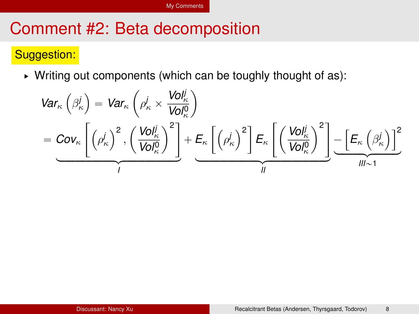#### Suggestion:

► Writing out components (which can be toughly thought of as):

$$
Var_{\kappa}\left(\beta_{\kappa}^{j}\right) = Var_{\kappa}\left(\rho_{\kappa}^{j} \times \frac{Vol_{\kappa}^{j}}{Vol_{\kappa}^{0}}\right)
$$
  
= 
$$
Cov_{\kappa}\left[\left(\rho_{\kappa}^{j}\right)^{2}, \left(\frac{Vol_{\kappa}^{j}}{Vol_{\kappa}^{0}}\right)^{2}\right] + \underbrace{E_{\kappa}\left[\left(\rho_{\kappa}^{j}\right)^{2}\right]E_{\kappa}\left[\left(\frac{Vol_{\kappa}^{j}}{Vol_{\kappa}^{0}}\right)^{2}\right]}_{II} - \underbrace{\left[E_{\kappa}\left(\beta_{\kappa}^{j}\right)\right]^{2}}_{III \sim 1}
$$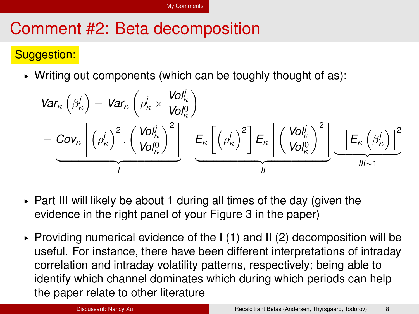#### Suggestion:

 $\triangleright$  Writing out components (which can be toughly thought of as):

$$
Var_{\kappa} \left( \beta_{\kappa}^{j} \right) = Var_{\kappa} \left( \rho_{\kappa}^{j} \times \frac{Vol_{\kappa}^{j}}{Vol_{\kappa}^{0}} \right)
$$
  
= 
$$
Cov_{\kappa} \left[ \left( \rho_{\kappa}^{j} \right)^{2}, \left( \frac{Vol_{\kappa}^{j}}{Vol_{\kappa}^{0}} \right)^{2} \right] + \underbrace{E_{\kappa} \left[ \left( \rho_{\kappa}^{j} \right)^{2} \right]}_{I} = \underbrace{E_{\kappa} \left[ \left( \frac{Vol_{\kappa}^{j}}{Vol_{\kappa}^{0}} \right)^{2} \right]}_{II} - \underbrace{\left[ E_{\kappa} \left( \beta_{\kappa}^{j} \right) \right]^{2}}_{III \sim 1}
$$

- ► Part III will likely be about 1 during all times of the day (given the evidence in the right panel of your Figure 3 in the paper)
- $\triangleright$  Providing numerical evidence of the I (1) and II (2) decomposition will be useful. For instance, there have been different interpretations of intraday correlation and intraday volatility patterns, respectively; being able to identify which channel dominates which during which periods can help the paper relate to other literature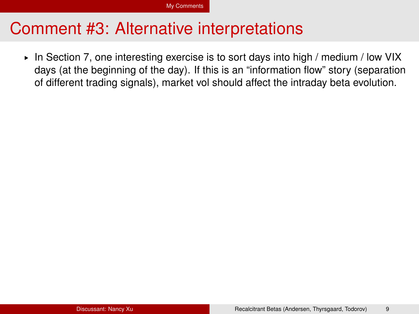#### Comment #3: Alternative interpretations

§ In Section 7, one interesting exercise is to sort days into high / medium / low VIX days (at the beginning of the day). If this is an "information flow" story (separation of different trading signals), market vol should affect the intraday beta evolution.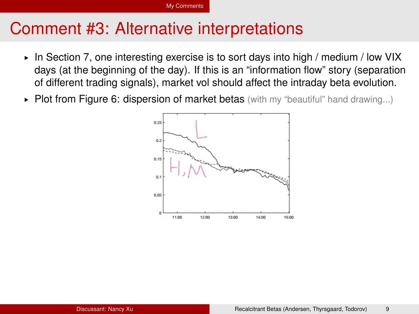#### [My Comments](#page-12-0)

#### Comment #3: Alternative interpretations

- § In Section 7, one interesting exercise is to sort days into high / medium / low VIX days (at the beginning of the day). If this is an "information flow" story (separation of different trading signals), market vol should affect the intraday beta evolution.
- $\triangleright$  Plot from Figure 6: dispersion of market betas (with my "beautiful" hand drawing...)

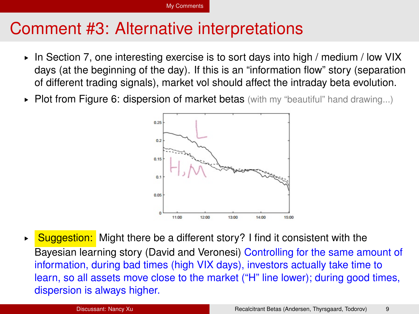# Comment #3: Alternative interpretations

- § In Section 7, one interesting exercise is to sort days into high / medium / low VIX days (at the beginning of the day). If this is an "information flow" story (separation of different trading signals), market vol should affect the intraday beta evolution.
- $\triangleright$  Plot from Figure 6: dispersion of market betas (with my "beautiful" hand drawing...)



 $\triangleright$  Suggestion: Might there be a different story? I find it consistent with the Bayesian learning story (David and Veronesi) Controlling for the same amount of information, during bad times (high VIX days), investors actually take time to learn, so all assets move close to the market ("H" line lower); during good times, dispersion is always higher.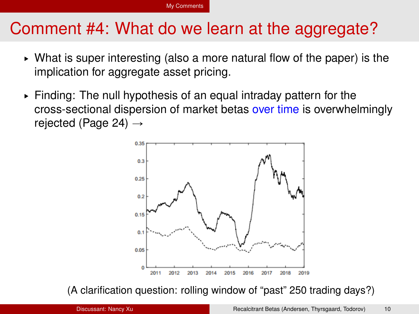# Comment #4: What do we learn at the aggregate?

- $\triangleright$  What is super interesting (also a more natural flow of the paper) is the implication for aggregate asset pricing.
- $\triangleright$  Finding: The null hypothesis of an equal intraday pattern for the cross-sectional dispersion of market betas over time is overwhelmingly rejected (Page 24)  $\rightarrow$



(A clarification question: rolling window of "past" 250 trading days?)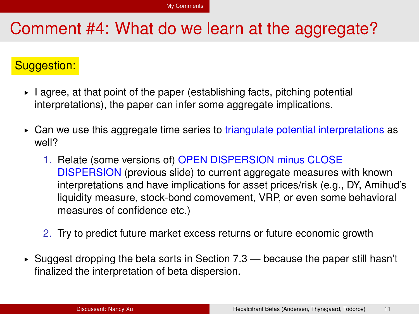#### Comment #4: What do we learn at the aggregate?

#### Suggestion:

- ► I agree, at that point of the paper (establishing facts, pitching potential interpretations), the paper can infer some aggregate implications.
- § Can we use this aggregate time series to triangulate potential interpretations as well?
	- 1. Relate (some versions of) OPEN DISPERSION minus CLOSE DISPERSION (previous slide) to current aggregate measures with known interpretations and have implications for asset prices/risk (e.g., DY, Amihud's liquidity measure, stock-bond comovement, VRP, or even some behavioral measures of confidence etc.)
	- 2. Try to predict future market excess returns or future economic growth
- $\triangleright$  Suggest dropping the beta sorts in Section 7.3 because the paper still hasn't finalized the interpretation of beta dispersion.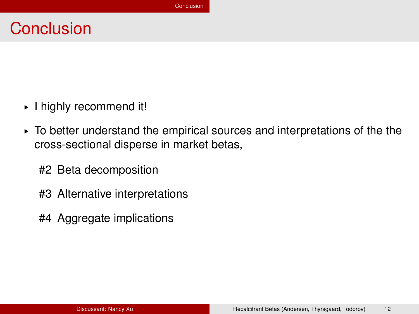#### <span id="page-24-0"></span>**Conclusion**

- § I highly recommend it!
- $\triangleright$  To better understand the empirical sources and interpretations of the the cross-sectional disperse in market betas,
	- #2 Beta decomposition
	- #3 Alternative interpretations
	- #4 Aggregate implications